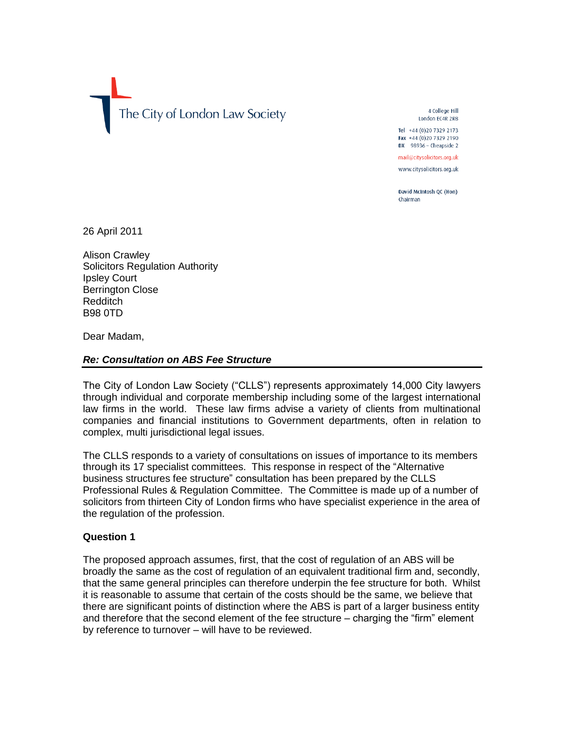The City of London Law Society

4 College Hill London EC4R 2RB

Tel +44 (0) 20 7329 2173 Fax +44 (0)20 7329 2190 DX 98936 - Cheapside 2

mail@citysolicitors.org.uk

www.citysolicitors.org.uk

David McIntosh QC (Hon) Chairman

26 April 2011

Alison Crawley Solicitors Regulation Authority Ipsley Court Berrington Close Redditch B98 0TD

Dear Madam,

## *Re: Consultation on ABS Fee Structure*

The City of London Law Society ("CLLS") represents approximately 14,000 City lawyers through individual and corporate membership including some of the largest international law firms in the world. These law firms advise a variety of clients from multinational companies and financial institutions to Government departments, often in relation to complex, multi jurisdictional legal issues.

The CLLS responds to a variety of consultations on issues of importance to its members through its 17 specialist committees. This response in respect of the "Alternative business structures fee structure" consultation has been prepared by the CLLS Professional Rules & Regulation Committee. The Committee is made up of a number of solicitors from thirteen City of London firms who have specialist experience in the area of the regulation of the profession.

# **Question 1**

The proposed approach assumes, first, that the cost of regulation of an ABS will be broadly the same as the cost of regulation of an equivalent traditional firm and, secondly, that the same general principles can therefore underpin the fee structure for both. Whilst it is reasonable to assume that certain of the costs should be the same, we believe that there are significant points of distinction where the ABS is part of a larger business entity and therefore that the second element of the fee structure – charging the "firm" element by reference to turnover – will have to be reviewed.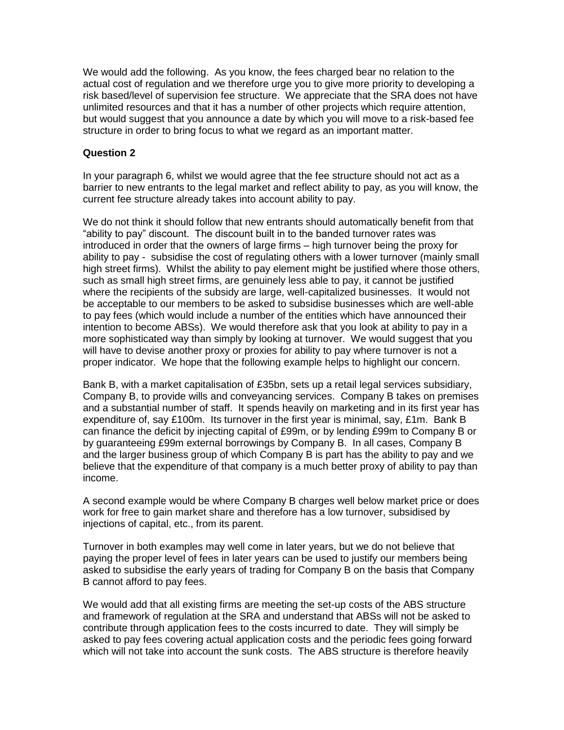We would add the following. As you know, the fees charged bear no relation to the actual cost of regulation and we therefore urge you to give more priority to developing a risk based/level of supervision fee structure. We appreciate that the SRA does not have unlimited resources and that it has a number of other projects which require attention, but would suggest that you announce a date by which you will move to a risk-based fee structure in order to bring focus to what we regard as an important matter.

#### **Question 2**

In your paragraph 6, whilst we would agree that the fee structure should not act as a barrier to new entrants to the legal market and reflect ability to pay, as you will know, the current fee structure already takes into account ability to pay.

We do not think it should follow that new entrants should automatically benefit from that "ability to pay" discount. The discount built in to the banded turnover rates was introduced in order that the owners of large firms – high turnover being the proxy for ability to pay - subsidise the cost of regulating others with a lower turnover (mainly small high street firms). Whilst the ability to pay element might be justified where those others, such as small high street firms, are genuinely less able to pay, it cannot be justified where the recipients of the subsidy are large, well-capitalized businesses. It would not be acceptable to our members to be asked to subsidise businesses which are well-able to pay fees (which would include a number of the entities which have announced their intention to become ABSs). We would therefore ask that you look at ability to pay in a more sophisticated way than simply by looking at turnover. We would suggest that you will have to devise another proxy or proxies for ability to pay where turnover is not a proper indicator. We hope that the following example helps to highlight our concern.

Bank B, with a market capitalisation of £35bn, sets up a retail legal services subsidiary, Company B, to provide wills and conveyancing services. Company B takes on premises and a substantial number of staff. It spends heavily on marketing and in its first year has expenditure of, say £100m. Its turnover in the first year is minimal, say, £1m. Bank B can finance the deficit by injecting capital of £99m, or by lending £99m to Company B or by guaranteeing £99m external borrowings by Company B. In all cases, Company B and the larger business group of which Company B is part has the ability to pay and we believe that the expenditure of that company is a much better proxy of ability to pay than income.

A second example would be where Company B charges well below market price or does work for free to gain market share and therefore has a low turnover, subsidised by injections of capital, etc., from its parent.

Turnover in both examples may well come in later years, but we do not believe that paying the proper level of fees in later years can be used to justify our members being asked to subsidise the early years of trading for Company B on the basis that Company B cannot afford to pay fees.

We would add that all existing firms are meeting the set-up costs of the ABS structure and framework of regulation at the SRA and understand that ABSs will not be asked to contribute through application fees to the costs incurred to date. They will simply be asked to pay fees covering actual application costs and the periodic fees going forward which will not take into account the sunk costs. The ABS structure is therefore heavily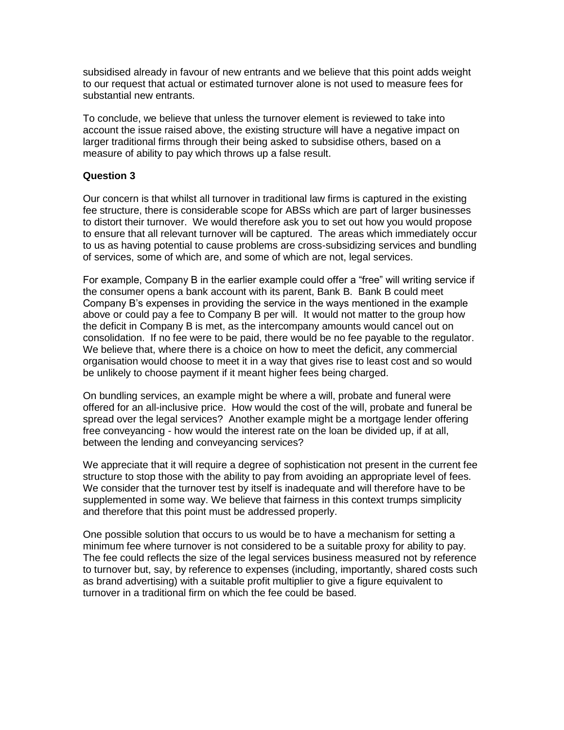subsidised already in favour of new entrants and we believe that this point adds weight to our request that actual or estimated turnover alone is not used to measure fees for substantial new entrants.

To conclude, we believe that unless the turnover element is reviewed to take into account the issue raised above, the existing structure will have a negative impact on larger traditional firms through their being asked to subsidise others, based on a measure of ability to pay which throws up a false result.

## **Question 3**

Our concern is that whilst all turnover in traditional law firms is captured in the existing fee structure, there is considerable scope for ABSs which are part of larger businesses to distort their turnover. We would therefore ask you to set out how you would propose to ensure that all relevant turnover will be captured. The areas which immediately occur to us as having potential to cause problems are cross-subsidizing services and bundling of services, some of which are, and some of which are not, legal services.

For example, Company B in the earlier example could offer a "free" will writing service if the consumer opens a bank account with its parent, Bank B. Bank B could meet Company B's expenses in providing the service in the ways mentioned in the example above or could pay a fee to Company B per will. It would not matter to the group how the deficit in Company B is met, as the intercompany amounts would cancel out on consolidation. If no fee were to be paid, there would be no fee payable to the regulator. We believe that, where there is a choice on how to meet the deficit, any commercial organisation would choose to meet it in a way that gives rise to least cost and so would be unlikely to choose payment if it meant higher fees being charged.

On bundling services, an example might be where a will, probate and funeral were offered for an all-inclusive price. How would the cost of the will, probate and funeral be spread over the legal services? Another example might be a mortgage lender offering free conveyancing - how would the interest rate on the loan be divided up, if at all, between the lending and conveyancing services?

We appreciate that it will require a degree of sophistication not present in the current fee structure to stop those with the ability to pay from avoiding an appropriate level of fees. We consider that the turnover test by itself is inadequate and will therefore have to be supplemented in some way. We believe that fairness in this context trumps simplicity and therefore that this point must be addressed properly.

One possible solution that occurs to us would be to have a mechanism for setting a minimum fee where turnover is not considered to be a suitable proxy for ability to pay. The fee could reflects the size of the legal services business measured not by reference to turnover but, say, by reference to expenses (including, importantly, shared costs such as brand advertising) with a suitable profit multiplier to give a figure equivalent to turnover in a traditional firm on which the fee could be based.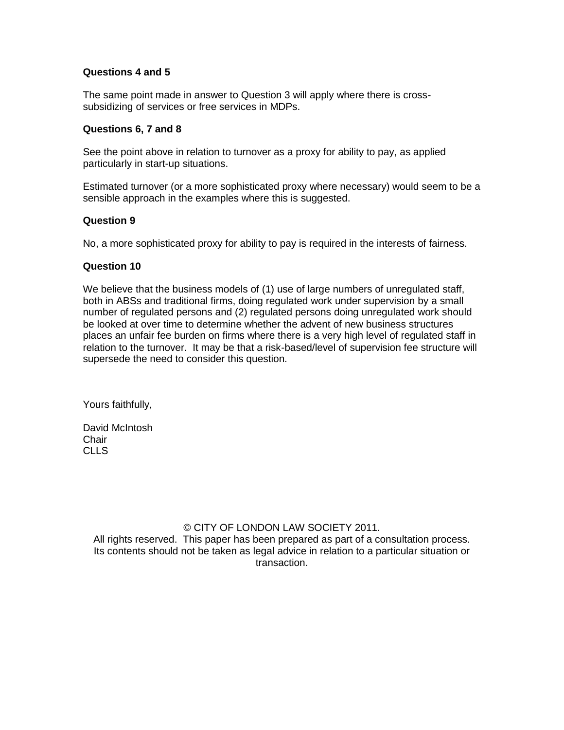## **Questions 4 and 5**

The same point made in answer to Question 3 will apply where there is crosssubsidizing of services or free services in MDPs.

#### **Questions 6, 7 and 8**

See the point above in relation to turnover as a proxy for ability to pay, as applied particularly in start-up situations.

Estimated turnover (or a more sophisticated proxy where necessary) would seem to be a sensible approach in the examples where this is suggested.

## **Question 9**

No, a more sophisticated proxy for ability to pay is required in the interests of fairness.

## **Question 10**

We believe that the business models of (1) use of large numbers of unregulated staff, both in ABSs and traditional firms, doing regulated work under supervision by a small number of regulated persons and (2) regulated persons doing unregulated work should be looked at over time to determine whether the advent of new business structures places an unfair fee burden on firms where there is a very high level of regulated staff in relation to the turnover. It may be that a risk-based/level of supervision fee structure will supersede the need to consider this question.

Yours faithfully,

David McIntosh **Chair** CLLS

# © CITY OF LONDON LAW SOCIETY 2011.

All rights reserved. This paper has been prepared as part of a consultation process. Its contents should not be taken as legal advice in relation to a particular situation or transaction.